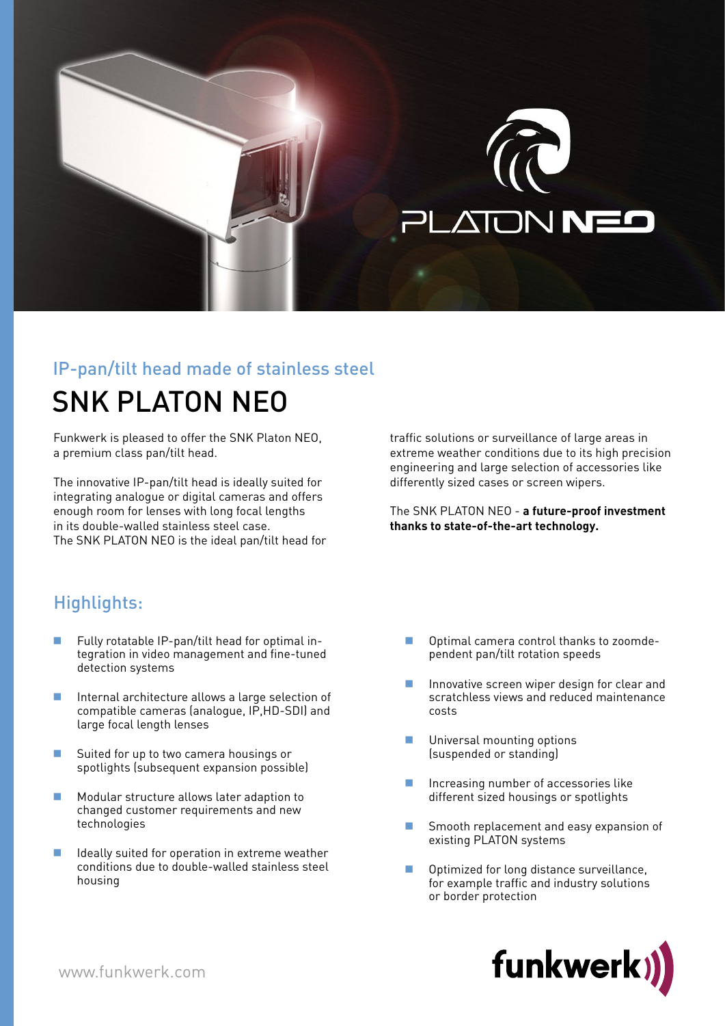

# IP-pan/tilt head made of stainless steel

## SNK PLATON NEO

Funkwerk is pleased to offer the SNK Platon NEO, a premium class pan/tilt head.

The innovative IP-pan/tilt head is ideally suited for integrating analogue or digital cameras and offers enough room for lenses with long focal lengths in its double-walled stainless steel case. The SNK PLATON NEO is the ideal pan/tilt head for

### traffic solutions or surveillance of large areas in extreme weather conditions due to its high precision engineering and large selection of accessories like differently sized cases or screen wipers.

The SNK PLATON NEO - **a future-proof investment thanks to state-of-the-art technology.**

## Highlights:

- **Fully rotatable IP-pan/tilt head for optimal in**tegration in video management and fine-tuned detection systems
- Internal architecture allows a large selection of compatible cameras (analogue, IP, HD-SDI) and large focal length lenses
- **Suited for up to two camera housings or** spotlights (subsequent expansion possible)
- **Modular structure allows later adaption to** changed customer requirements and new technologies
- I Ideally suited for operation in extreme weather conditions due to double-walled stainless steel housing
- Optimal camera control thanks to zoomdependent pan/tilt rotation speeds
- Innovative screen wiper design for clear and scratchless views and reduced maintenance costs
- **Universal mounting options** (suspended or standing)
- Increasing number of accessories like different sized housings or spotlights
- Smooth replacement and easy expansion of existing PLATON systems
- Optimized for long distance surveillance, for example traffic and industry solutions or border protection

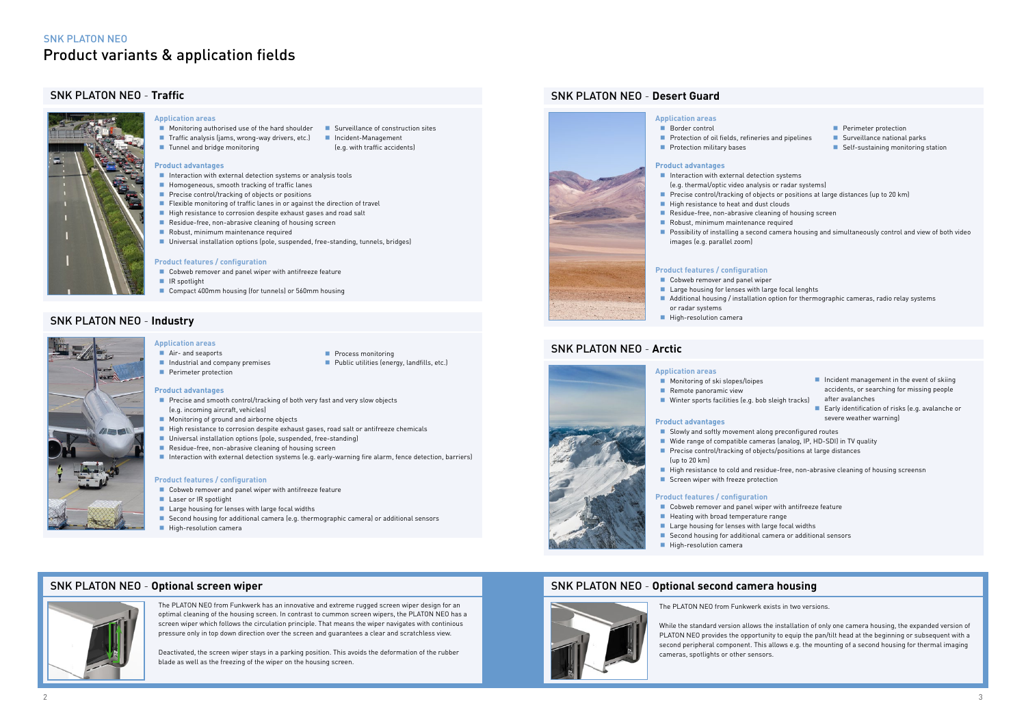#### **Product advantages**

- Interaction with external detection systems or analysis tools
- **Homogeneous, smooth tracking of traffic lanes**
- $\blacksquare$  Precise control/tracking of objects or positions
- Flexible monitoring of traffic lanes in or against the direction of travel
- High resistance to corrosion despite exhaust gases and road salt
- Residue-free, non-abrasive cleaning of housing screen
- $\blacksquare$  Robust, minimum maintenance required
- Universal installation options (pole, suspended, free-standing, tunnels, bridges)

- Cobweb remover and panel wiper with antifreeze feature
- Compact 400mm housing (for tunnels) or 560mm housing
- Traffic analysis (jams, wrong-way drivers, etc.) Incident-Management
	- - (e.g. with traffic accidents)

## SNK PLATON NEO - **Traffic**

#### **Product features / configuration**

Industrial and company premises







- $\blacksquare$  Interaction with external detection (e.g. thermal/optic video analysis or
- $\blacksquare$  Precise control/tracking of objects
- $\blacksquare$  High resistance to heat and dust cl
- $\blacksquare$  Residue-free, non-abrasive cleani
- $\blacksquare$  Robust, minimum maintenance require
- **Possibility of installing a second camera housing and simultaneously control and simulate**  $\overline{a}$ images (e.g. parallel zoom)

#### **Application areas**

■ Monitoring authorised use of the hard shoulder ■ Surveillance of construction sites

 $\blacksquare$  Tunnel and bridge monitoring

#### **Product advantages**

## SNK PLATON NEO - **Desert Guard**

## **Product features / configuration**

- Cobweb remover and panel wiper
- $\blacksquare$  Large housing for lenses with large
- $\blacksquare$  Additional housing / installation option
- or radar systems
- $\blacksquare$  High-resolution camera

#### **Application areas**

- Border control
- **Protection of oil fields, refineries and pipelines**
- **Protection military bases**

| Perimeter protection<br>nd pipelines<br>Surveillance national parks<br>Self-sustaining monitoring station                                                                                                                  |  |  |  |
|----------------------------------------------------------------------------------------------------------------------------------------------------------------------------------------------------------------------------|--|--|--|
| ı systems<br>or radar systems)<br>s or positions at large distances (up to 20 km)<br>louds<br>ng of housing screen<br>quired<br>amera housing and simultaneously control and view of both video                            |  |  |  |
| e focal lenghts<br>otion for thermographic cameras, radio relay systems                                                                                                                                                    |  |  |  |
|                                                                                                                                                                                                                            |  |  |  |
|                                                                                                                                                                                                                            |  |  |  |
| $\blacksquare$ Incident management in the event of skiing<br>accidents, or searching for missing people<br>after avalanches<br>eigh tracks)<br>Early identification of risks (e.g. avalanche or<br>severe weather warning) |  |  |  |
| preconfigured routes<br>s (analog, IP, HD-SDI) in TV quality<br>s/positions at large distances                                                                                                                             |  |  |  |
| e-free, non-abrasive cleaning of housing screensn<br>'n                                                                                                                                                                    |  |  |  |
| with antifreeze feature<br>ange<br>e focal widths<br>nera or additional sensors                                                                                                                                            |  |  |  |

#### **Product advantages**

- $\blacksquare$  Slowly and softly movement along
- $\blacksquare$  Wide range of compatible cameras
- **Precise control/tracking of objects** (up to 20 km)
- $\blacksquare$  High resistance to cold and residue
- $\blacksquare$  Screen wiper with freeze protection

## SNK PLATON NEO - **Arctic**

#### **Product features / configuration**

- $\blacksquare$  Cobweb remover and panel wiper
- $\blacksquare$  Heating with broad temperature ra
- $\blacksquare$  Large housing for lenses with large
- $\blacksquare$  Second housing for additional came  $\blacksquare$  High-resolution camera
- 

#### **Application areas**

- Monitoring of ski slopes/loipes
- Remote panoramic view
- Winter sports facilities (e.g. bob sl

#### **Product advantages**

**Perimeter protection** 

- **Precise and smooth control/tracking of both very fast and very slow objects** (e.g. incoming aircraft, vehicles)
- **Monitoring of ground and airborne objects**
- High resistance to corrosion despite exhaust gases, road salt or antifreeze chemicals
- Universal installation options (pole, suspended, free-standing)
- Residue-free, non-abrasive cleaning of housing screen
- Interaction with external detection systems (e.g. early-warning fire alarm, fence detection, barriers)

## SNK PLATON NEO - **Industry**

#### **Product features / configuration**

- Cobweb remover and panel wiper with antifreeze feature
- **Laser or IR spotlight**
- Large housing for lenses with large focal widths
- Second housing for additional camera (e.g. thermographic camera) or additional sensors
- **High-resolution camera**

### **Application areas**

■ Air- and seaports

- **Process monitoring**
- **Public utilities (energy, landfills, etc.)**

## SNK PLATON NEO - **Optional screen wiper**



The PLATON NEO from Funkwerk has an innovative and extreme rugged screen wiper design for an optimal cleaning of the housing screen. In contrast to cummon screen wipers, the PLATON NEO has a screen wiper which follows the circulation principle. That means the wiper navigates with continious pressure only in top down direction over the screen and guarantees a clear and scratchless view.

Deactivated, the screen wiper stays in a parking position. This avoids the deformation of the rubber blade as well as the freezing of the wiper on the housing screen.

## SNK PLATON NEO - **Optional second camera housing**

## The PLATON NEO from Funkwerk exists in two versions.

While the standard version allows the installation of only one camera housing, the expanded version of PLATON NEO provides the opportunity to equip the pan/tilt head at the beginning or subsequent with a second peripheral component. This allows e.g. the mounting of a second housing for thermal imaging cameras, spotlights or other sensors.